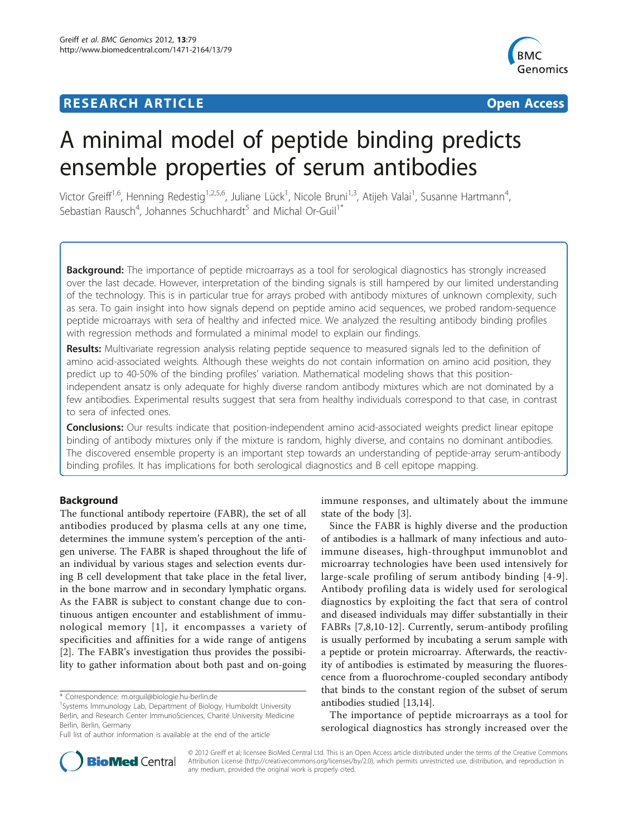## **RESEARCH ARTICLE Example 2018 Open Access**



# A minimal model of peptide binding predicts ensemble properties of serum antibodies

Victor Greiff<sup>1,6</sup>, Henning Redestig<sup>1,2,5,6</sup>, Juliane Lück<sup>1</sup>, Nicole Bruni<sup>1,3</sup>, Atijeh Valai<sup>1</sup>, Susanne Hartmann<sup>4</sup> , Sebastian Rausch<sup>4</sup>, Johannes Schuchhardt<sup>5</sup> and Michal Or-Guil<sup>1\*</sup>

**Background:** The importance of peptide microarrays as a tool for serological diagnostics has strongly increased over the last decade. However, interpretation of the binding signals is still hampered by our limited understanding of the technology. This is in particular true for arrays probed with antibody mixtures of unknown complexity, such as sera. To gain insight into how signals depend on peptide amino acid sequences, we probed random-sequence peptide microarrays with sera of healthy and infected mice. We analyzed the resulting antibody binding profiles with regression methods and formulated a minimal model to explain our findings.

Results: Multivariate regression analysis relating peptide sequence to measured signals led to the definition of amino acid-associated weights. Although these weights do not contain information on amino acid position, they predict up to 40-50% of the binding profiles' variation. Mathematical modeling shows that this positionindependent ansatz is only adequate for highly diverse random antibody mixtures which are not dominated by a few antibodies. Experimental results suggest that sera from healthy individuals correspond to that case, in contrast to sera of infected ones.

**Conclusions:** Our results indicate that position-independent amino acid-associated weights predict linear epitope binding of antibody mixtures only if the mixture is random, highly diverse, and contains no dominant antibodies. The discovered ensemble property is an important step towards an understanding of peptide-array serum-antibody binding profiles. It has implications for both serological diagnostics and B cell epitope mapping.

## Background

The functional antibody repertoire (FABR), the set of all antibodies produced by plasma cells at any one time, determines the immune system's perception of the antigen universe. The FABR is shaped throughout the life of an individual by various stages and selection events during B cell development that take place in the fetal liver, in the bone marrow and in secondary lymphatic organs. As the FABR is subject to constant change due to continuous antigen encounter and establishment of immunological memory [[1\]](#page-12-0), it encompasses a variety of specificities and affinities for a wide range of antigens [[2\]](#page-12-0). The FABR's investigation thus provides the possibility to gather information about both past and on-going

\* Correspondence: [m.orguil@biologie.hu-berlin.de](mailto:m.orguil@biologie.hu-berlin.de)

immune responses, and ultimately about the immune state of the body [\[3](#page-12-0)].

Since the FABR is highly diverse and the production of antibodies is a hallmark of many infectious and autoimmune diseases, high-throughput immunoblot and microarray technologies have been used intensively for large-scale profiling of serum antibody binding [[4-9](#page-12-0)]. Antibody profiling data is widely used for serological diagnostics by exploiting the fact that sera of control and diseased individuals may differ substantially in their FABRs [[7,8,10-12](#page-12-0)]. Currently, serum-antibody profiling is usually performed by incubating a serum sample with a peptide or protein microarray. Afterwards, the reactivity of antibodies is estimated by measuring the fluorescence from a fluorochrome-coupled secondary antibody that binds to the constant region of the subset of serum antibodies studied [\[13,14](#page-12-0)].

The importance of peptide microarrays as a tool for serological diagnostics has strongly increased over the



© 2012 Greiff et al; licensee BioMed Central Ltd. This is an Open Access article distributed under the terms of the Creative Commons Attribution License [\(http://creativecommons.org/licenses/by/2.0](http://creativecommons.org/licenses/by/2.0)), which permits unrestricted use, distribution, and reproduction in any medium, provided the original work is properly cited.

<sup>&</sup>lt;sup>1</sup>Systems Immunology Lab, Department of Biology, Humboldt University Berlin, and Research Center ImmunoSciences, Charité University Medicine Berlin, Berlin, Germany

Full list of author information is available at the end of the article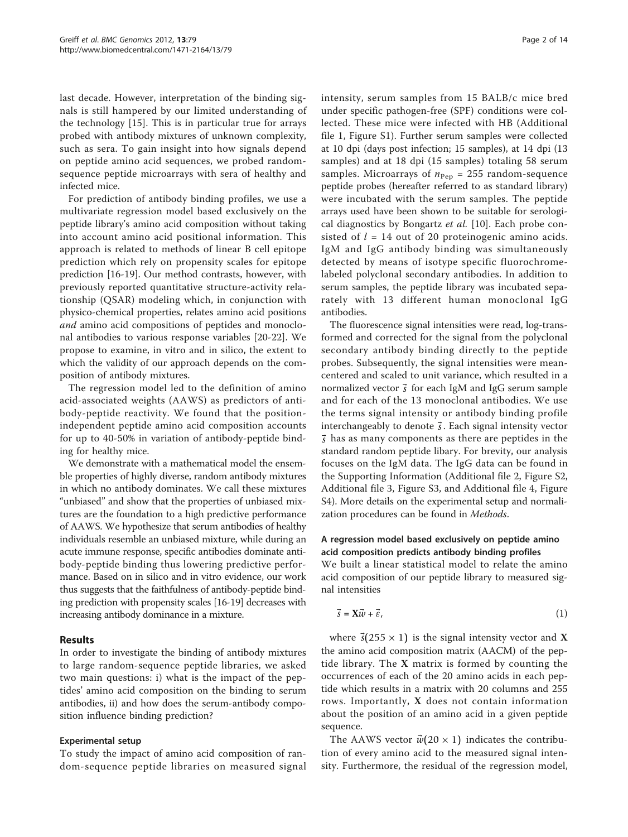last decade. However, interpretation of the binding signals is still hampered by our limited understanding of the technology [[15](#page-12-0)]. This is in particular true for arrays probed with antibody mixtures of unknown complexity, such as sera. To gain insight into how signals depend on peptide amino acid sequences, we probed randomsequence peptide microarrays with sera of healthy and infected mice.

For prediction of antibody binding profiles, we use a multivariate regression model based exclusively on the peptide library's amino acid composition without taking into account amino acid positional information. This approach is related to methods of linear B cell epitope prediction which rely on propensity scales for epitope prediction [[16-19\]](#page-12-0). Our method contrasts, however, with previously reported quantitative structure-activity relationship (QSAR) modeling which, in conjunction with physico-chemical properties, relates amino acid positions and amino acid compositions of peptides and monoclonal antibodies to various response variables [\[20](#page-12-0)-[22](#page-12-0)]. We propose to examine, in vitro and in silico, the extent to which the validity of our approach depends on the composition of antibody mixtures.

The regression model led to the definition of amino acid-associated weights (AAWS) as predictors of antibody-peptide reactivity. We found that the positionindependent peptide amino acid composition accounts for up to 40-50% in variation of antibody-peptide binding for healthy mice.

We demonstrate with a mathematical model the ensemble properties of highly diverse, random antibody mixtures in which no antibody dominates. We call these mixtures "unbiased" and show that the properties of unbiased mixtures are the foundation to a high predictive performance of AAWS. We hypothesize that serum antibodies of healthy individuals resemble an unbiased mixture, while during an acute immune response, specific antibodies dominate antibody-peptide binding thus lowering predictive performance. Based on in silico and in vitro evidence, our work thus suggests that the faithfulness of antibody-peptide binding prediction with propensity scales [[16](#page-12-0)-[19](#page-12-0)] decreases with increasing antibody dominance in a mixture.

## Results

In order to investigate the binding of antibody mixtures to large random-sequence peptide libraries, we asked two main questions: i) what is the impact of the peptides' amino acid composition on the binding to serum antibodies, ii) and how does the serum-antibody composition influence binding prediction?

#### Experimental setup

To study the impact of amino acid composition of random-sequence peptide libraries on measured signal intensity, serum samples from 15 BALB/c mice bred under specific pathogen-free (SPF) conditions were collected. These mice were infected with HB (Additional file [1,](#page-11-0) Figure S1). Further serum samples were collected at 10 dpi (days post infection; 15 samples), at 14 dpi (13 samples) and at 18 dpi (15 samples) totaling 58 serum samples. Microarrays of  $n_{\text{Pep}} = 255$  random-sequence peptide probes (hereafter referred to as standard library) were incubated with the serum samples. The peptide arrays used have been shown to be suitable for serologi-cal diagnostics by Bongartz et al. [\[10](#page-12-0)]. Each probe consisted of  $l = 14$  out of 20 proteinogenic amino acids. IgM and IgG antibody binding was simultaneously detected by means of isotype specific fluorochromelabeled polyclonal secondary antibodies. In addition to serum samples, the peptide library was incubated separately with 13 different human monoclonal IgG antibodies.

The fluorescence signal intensities were read, log-transformed and corrected for the signal from the polyclonal secondary antibody binding directly to the peptide probes. Subsequently, the signal intensities were meancentered and scaled to unit variance, which resulted in a normalized vector  $\vec{s}$  for each IgM and IgG serum sample and for each of the 13 monoclonal antibodies. We use the terms signal intensity or antibody binding profile interchangeably to denote  $\vec{s}$ . Each signal intensity vector -*s* has as many components as there are peptides in the standard random peptide libary. For brevity, our analysis focuses on the IgM data. The IgG data can be found in the Supporting Information (Additional file [2](#page-11-0), Figure S2, Additional file [3](#page-11-0), Figure S3, and Additional file [4](#page-11-0), Figure S4). More details on the experimental setup and normalization procedures can be found in Methods.

## A regression model based exclusively on peptide amino acid composition predicts antibody binding profiles

We built a linear statistical model to relate the amino acid composition of our peptide library to measured signal intensities

$$
\vec{s} = \mathbf{X}\vec{w} + \vec{\varepsilon},\tag{1}
$$

where  $\vec{s}$ (255  $\times$  1) is the signal intensity vector and **X** the amino acid composition matrix (AACM) of the peptide library. The X matrix is formed by counting the occurrences of each of the 20 amino acids in each peptide which results in a matrix with 20 columns and 255 rows. Importantly, X does not contain information about the position of an amino acid in a given peptide sequence.

The AAWS vector  $\vec{w}$ (20 × 1) indicates the contribution of every amino acid to the measured signal intensity. Furthermore, the residual of the regression model,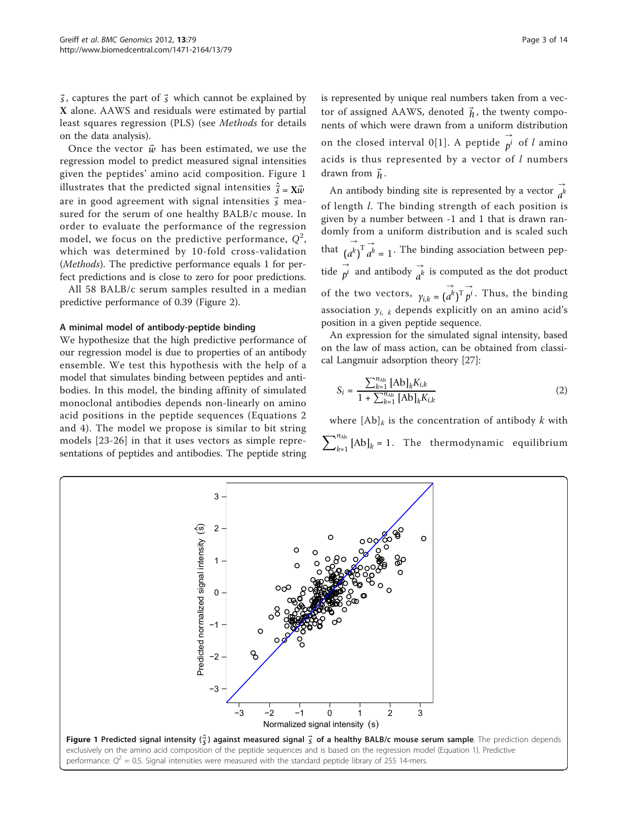$\vec{s}$ , captures the part of  $\vec{s}$  which cannot be explained by X alone. AAWS and residuals were estimated by partial least squares regression (PLS) (see Methods for details on the data analysis).

Once the vector  $\vec{w}$  has been estimated, we use the regression model to predict measured signal intensities given the peptides' amino acid composition. Figure 1 illustrates that the predicted signal intensities  $\hat{\vec{s}} = \mathbf{X}\vec{w}$ are in good agreement with signal intensities  $\vec{s}$  measured for the serum of one healthy BALB/c mouse. In order to evaluate the performance of the regression model, we focus on the predictive performance,  $Q^2$ , which was determined by 10-fold cross-validation (Methods). The predictive performance equals 1 for perfect predictions and is close to zero for poor predictions.

All 58 BALB/c serum samples resulted in a median predictive performance of 0.39 (Figure [2\)](#page-3-0).

#### A minimal model of antibody-peptide binding

We hypothesize that the high predictive performance of our regression model is due to properties of an antibody ensemble. We test this hypothesis with the help of a model that simulates binding between peptides and antibodies. In this model, the binding affinity of simulated monoclonal antibodies depends non-linearly on amino acid positions in the peptide sequences (Equations 2 and 4). The model we propose is similar to bit string models [[23-26\]](#page-12-0) in that it uses vectors as simple representations of peptides and antibodies. The peptide string is represented by unique real numbers taken from a vector of assigned AAWS, denoted  $\vec{h}$ , the twenty components of which were drawn from a uniform distribution on the closed interval 0[[1\]](#page-12-0). A peptide  $\vec{p}$  of l amino acids is thus represented by a vector of  $l$  numbers drawn from  $\vec{h}$ .

An antibody binding site is represented by a vector  $\overrightarrow{a^k}$ of length l. The binding strength of each position is given by a number between -1 and 1 that is drawn randomly from a uniform distribution and is scaled such that  $\vec{a}^k\vec{a}^k = 1$ . The binding association between peptide  $\overrightarrow{p}$ <sup>*i*</sup> and antibody  $\overrightarrow{a}$ <sup>*k*</sup> is computed as the dot product of the two vectors,  $y_{i,k} = (\vec{a^k})^T \vec{p^i}$ . Thus, the binding association  $y_{i,k}$  depends explicitly on an amino acid's position in a given peptide sequence.

An expression for the simulated signal intensity, based on the law of mass action, can be obtained from classical Langmuir adsorption theory [\[27\]](#page-12-0):

$$
S_{i} = \frac{\sum_{k=1}^{n_{\text{Ab}}} [\text{Ab}]_{k} K_{i,k}}{1 + \sum_{k=1}^{n_{\text{Ab}}} [\text{Ab}]_{k} K_{i,k}}
$$
(2)

where  $[Ab]_k$  is the concentration of antibody k with  $\sum_{k=1}^{n_{Ab}}$  [Ab]<sub>*k*</sub> = 1. The thermodynamic equilibrium

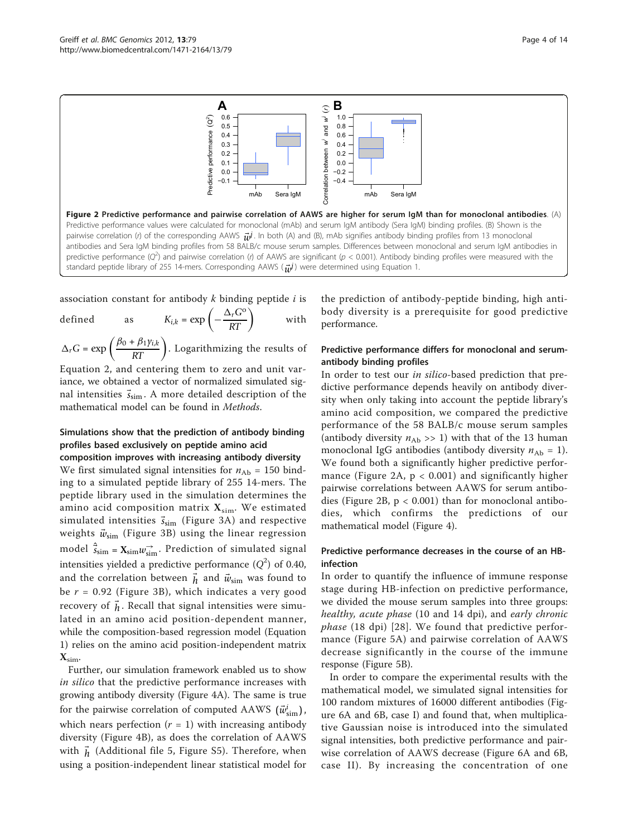<span id="page-3-0"></span>

association constant for antibody  $k$  binding peptide  $i$  is

defined as 
$$
K_{i,k} = \exp\left(-\frac{\Delta_r G^{\circ}}{RT}\right)
$$
 with

 $\Delta_r G = \exp\left(\frac{\beta_0 + \beta_1 \gamma_{i,k}}{RT}\right)$ . Logarithmizing the results of Equation 2, and centering them to zero and unit var-

iance, we obtained a vector of normalized simulated signal intensities  $\vec{s}_{sim}$ . A more detailed description of the mathematical model can be found in Methods.

## Simulations show that the prediction of antibody binding profiles based exclusively on peptide amino acid

composition improves with increasing antibody diversity We first simulated signal intensities for  $n_{Ab} = 150$  binding to a simulated peptide library of 255 14-mers. The peptide library used in the simulation determines the amino acid composition matrix  $X_{sim}$ . We estimated

 $s$ imulated intensities  $\vec{s}_{sim}$  (Figure [3A](#page-4-0)) and respective weights  $\vec{w}_{\rm sim}$  (Figure [3B\)](#page-4-0) using the linear regression model  $\vec{s}_{sim} = \mathbf{X}_{sim} w_{sim}^{\rightarrow}$ . Prediction of simulated signal intensities yielded a predictive performance  $(Q^2)$  of 0.40, and the correlation between  $\vec{h}$  and  $\vec{w}_{\rm sim}$  was found to be  $r = 0.92$  (Figure [3B\)](#page-4-0), which indicates a very good recovery of  $\vec{h}$ . Recall that signal intensities were simulated in an amino acid position-dependent manner, while the composition-based regression model (Equation 1) relies on the amino acid position-independent matrix  $X_{sim}$ .

Further, our simulation framework enabled us to show in silico that the predictive performance increases with growing antibody diversity (Figure [4A\)](#page-4-0). The same is true for the pairwise correlation of computed AAWS  $(\vec{w}_{sim}^i)$ , which nears perfection  $(r = 1)$  with increasing antibody diversity (Figure [4B](#page-4-0)), as does the correlation of AAWS with  $\vec{h}$  (Additional file [5](#page-11-0), Figure S5). Therefore, when using a position-independent linear statistical model for the prediction of antibody-peptide binding, high antibody diversity is a prerequisite for good predictive performance.

## Predictive performance differs for monoclonal and serumantibody binding profiles

In order to test our in silico-based prediction that predictive performance depends heavily on antibody diversity when only taking into account the peptide library's amino acid composition, we compared the predictive performance of the 58 BALB/c mouse serum samples (antibody diversity  $n_{Ab} \gg 1$ ) with that of the 13 human monoclonal IgG antibodies (antibody diversity  $n_{Ab} = 1$ ). We found both a significantly higher predictive performance (Figure 2A,  $p < 0.001$ ) and significantly higher pairwise correlations between AAWS for serum antibodies (Figure 2B,  $p < 0.001$ ) than for monoclonal antibodies, which confirms the predictions of our mathematical model (Figure [4](#page-4-0)).

#### Predictive performance decreases in the course of an HBinfection

In order to quantify the influence of immune response stage during HB-infection on predictive performance, we divided the mouse serum samples into three groups: healthy, acute phase (10 and 14 dpi), and early chronic phase (18 dpi) [\[28\]](#page-12-0). We found that predictive performance (Figure [5A](#page-5-0)) and pairwise correlation of AAWS decrease significantly in the course of the immune response (Figure [5B](#page-5-0)).

In order to compare the experimental results with the mathematical model, we simulated signal intensities for 100 random mixtures of 16000 different antibodies (Figure [6A](#page-5-0) and [6B,](#page-5-0) case I) and found that, when multiplicative Gaussian noise is introduced into the simulated signal intensities, both predictive performance and pairwise correlation of AAWS decrease (Figure [6A](#page-5-0) and [6B](#page-5-0), case II). By increasing the concentration of one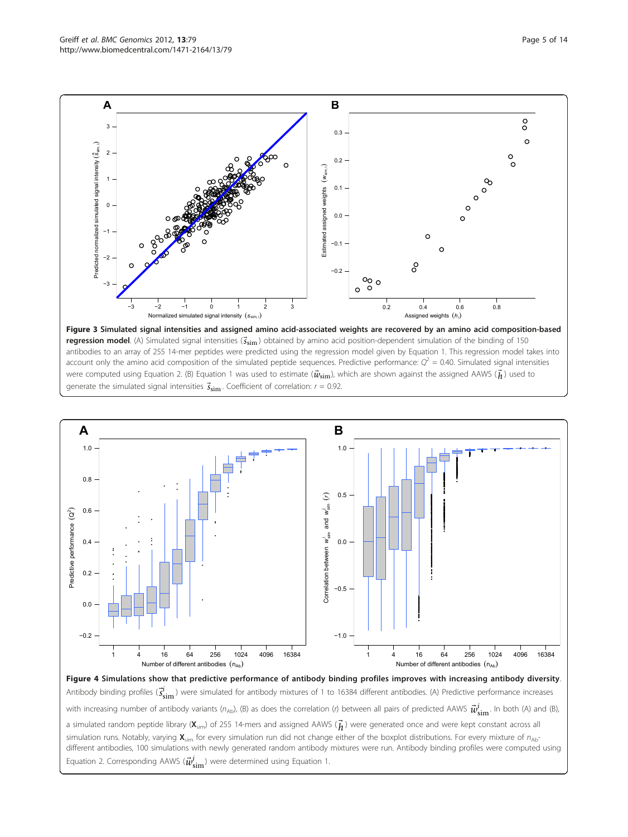<span id="page-4-0"></span>



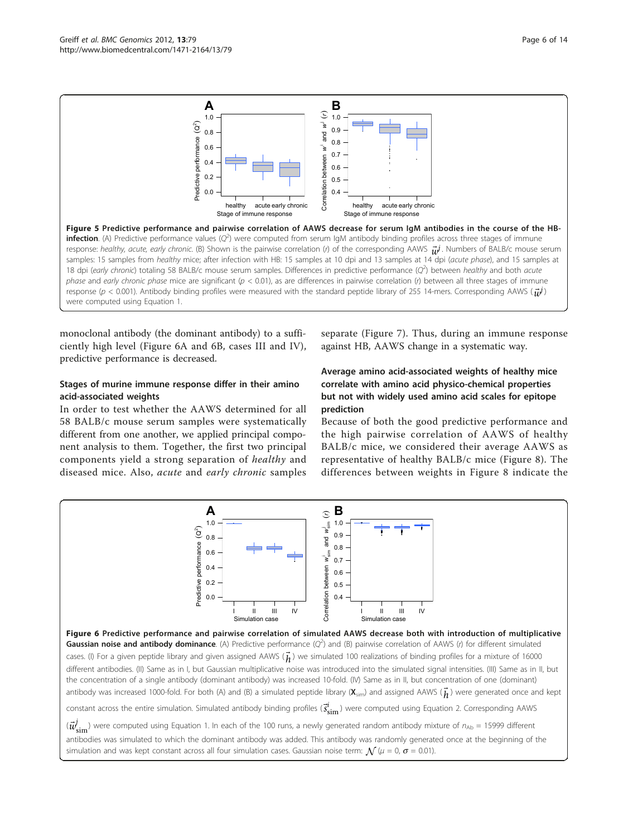<span id="page-5-0"></span>

monoclonal antibody (the dominant antibody) to a sufficiently high level (Figure 6A and 6B, cases III and IV), predictive performance is decreased.

#### Stages of murine immune response differ in their amino acid-associated weights

In order to test whether the AAWS determined for all 58 BALB/c mouse serum samples were systematically different from one another, we applied principal component analysis to them. Together, the first two principal components yield a strong separation of healthy and diseased mice. Also, acute and early chronic samples separate (Figure [7\)](#page-6-0). Thus, during an immune response against HB, AAWS change in a systematic way.

## Average amino acid-associated weights of healthy mice correlate with amino acid physico-chemical properties but not with widely used amino acid scales for epitope prediction

Because of both the good predictive performance and the high pairwise correlation of AAWS of healthy BALB/c mice, we considered their average AAWS as representative of healthy BALB/c mice (Figure [8\)](#page-7-0). The differences between weights in Figure [8](#page-7-0) indicate the



cases. (I) For a given peptide library and given assigned AAWS ( $\vec{h}$ ) we simulated 100 realizations of binding profiles for a mixture of 16000 different antibodies. (II) Same as in I, but Gaussian multiplicative noise was introduced into the simulated signal intensities. (III) Same as in II, but the concentration of a single antibody (dominant antibody) was increased 10-fold. (IV) Same as in II, but concentration of one (dominant) antibody was increased 1000-fold. For both (A) and (B) a simulated peptide library ( $\mathsf{X}_{\text{sim}}$ ) and assigned AAWS ( $\dot{h}$ ) were generated once and kept constant across the entire simulation. Simulated antibody binding profiles ( $\vec{s}^i_{sim}$ ) were computed using Equation 2. Corresponding AAWS

 $(\vec{w}^j_{\rm sim})$  were computed using Equation 1. In each of the 100 runs, a newly generated random antibody mixture of  $n_{\rm Ab}$  = 15999 different antibodies was simulated to which the dominant antibody was added. This antibody was randomly generated once at the beginning of the simulation and was kept constant across all four simulation cases. Gaussian noise term:  $\mathcal{N}(\mu = 0, \sigma = 0.01)$ .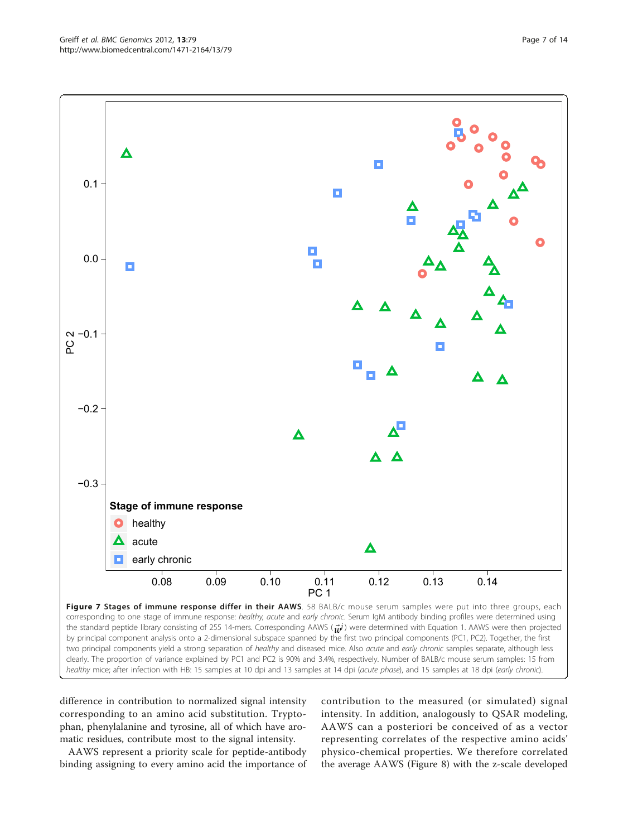<span id="page-6-0"></span>

difference in contribution to normalized signal intensity corresponding to an amino acid substitution. Tryptophan, phenylalanine and tyrosine, all of which have aromatic residues, contribute most to the signal intensity.

AAWS represent a priority scale for peptide-antibody binding assigning to every amino acid the importance of contribution to the measured (or simulated) signal intensity. In addition, analogously to QSAR modeling, AAWS can a posteriori be conceived of as a vector representing correlates of the respective amino acids' physico-chemical properties. We therefore correlated the average AAWS (Figure [8](#page-7-0)) with the z-scale developed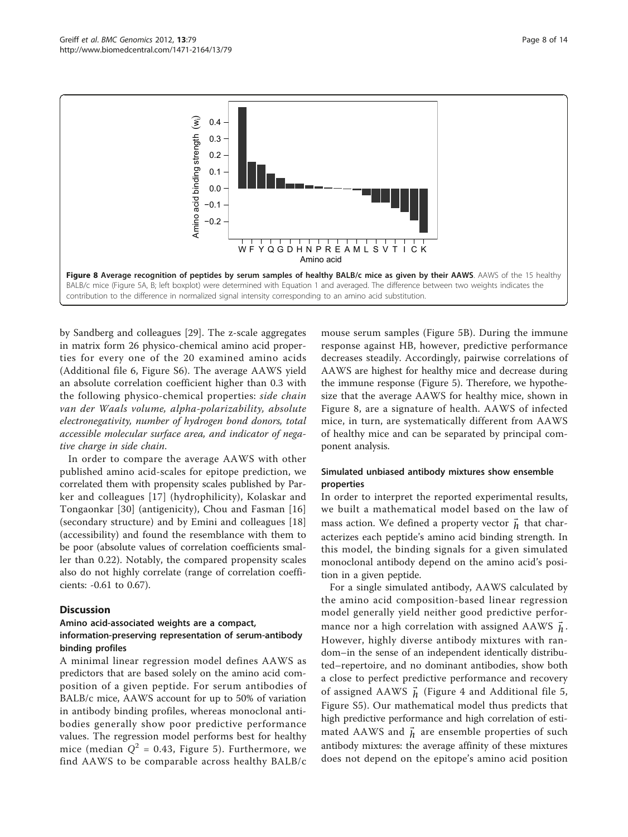<span id="page-7-0"></span>

by Sandberg and colleagues [\[29](#page-12-0)]. The z-scale aggregates in matrix form 26 physico-chemical amino acid properties for every one of the 20 examined amino acids (Additional file [6,](#page-11-0) Figure S6). The average AAWS yield an absolute correlation coefficient higher than 0.3 with the following physico-chemical properties: side chain van der Waals volume, alpha-polarizability, absolute electronegativity, number of hydrogen bond donors, total accessible molecular surface area, and indicator of negative charge in side chain.

In order to compare the average AAWS with other published amino acid-scales for epitope prediction, we correlated them with propensity scales published by Parker and colleagues [\[17\]](#page-12-0) (hydrophilicity), Kolaskar and Tongaonkar [[30\]](#page-12-0) (antigenicity), Chou and Fasman [\[16](#page-12-0)] (secondary structure) and by Emini and colleagues [\[18](#page-12-0)] (accessibility) and found the resemblance with them to be poor (absolute values of correlation coefficients smaller than 0.22). Notably, the compared propensity scales also do not highly correlate (range of correlation coefficients: -0.61 to 0.67).

#### **Discussion**

## Amino acid-associated weights are a compact, information-preserving representation of serum-antibody binding profiles

A minimal linear regression model defines AAWS as predictors that are based solely on the amino acid composition of a given peptide. For serum antibodies of BALB/c mice, AAWS account for up to 50% of variation in antibody binding profiles, whereas monoclonal antibodies generally show poor predictive performance values. The regression model performs best for healthy mice (median  $Q^2$  = 0.43, Figure [5](#page-5-0)). Furthermore, we find AAWS to be comparable across healthy BALB/c

mouse serum samples (Figure [5B](#page-5-0)). During the immune response against HB, however, predictive performance decreases steadily. Accordingly, pairwise correlations of AAWS are highest for healthy mice and decrease during the immune response (Figure [5\)](#page-5-0). Therefore, we hypothesize that the average AAWS for healthy mice, shown in Figure 8, are a signature of health. AAWS of infected mice, in turn, are systematically different from AAWS of healthy mice and can be separated by principal component analysis.

## Simulated unbiased antibody mixtures show ensemble properties

In order to interpret the reported experimental results, we built a mathematical model based on the law of mass action. We defined a property vector  $\vec{h}$  that characterizes each peptide's amino acid binding strength. In this model, the binding signals for a given simulated monoclonal antibody depend on the amino acid's position in a given peptide.

For a single simulated antibody, AAWS calculated by the amino acid composition-based linear regression model generally yield neither good predictive performance nor a high correlation with assigned AAWS  $\vec{h}$ . However, highly diverse antibody mixtures with random–in the sense of an independent identically distributed–repertoire, and no dominant antibodies, show both a close to perfect predictive performance and recovery of assigned AAWS  $\vec{h}$  (Figure [4](#page-4-0) and Additional file [5](#page-11-0), Figure S5). Our mathematical model thus predicts that high predictive performance and high correlation of estimated AAWS and  $\vec{h}$  are ensemble properties of such antibody mixtures: the average affinity of these mixtures does not depend on the epitope's amino acid position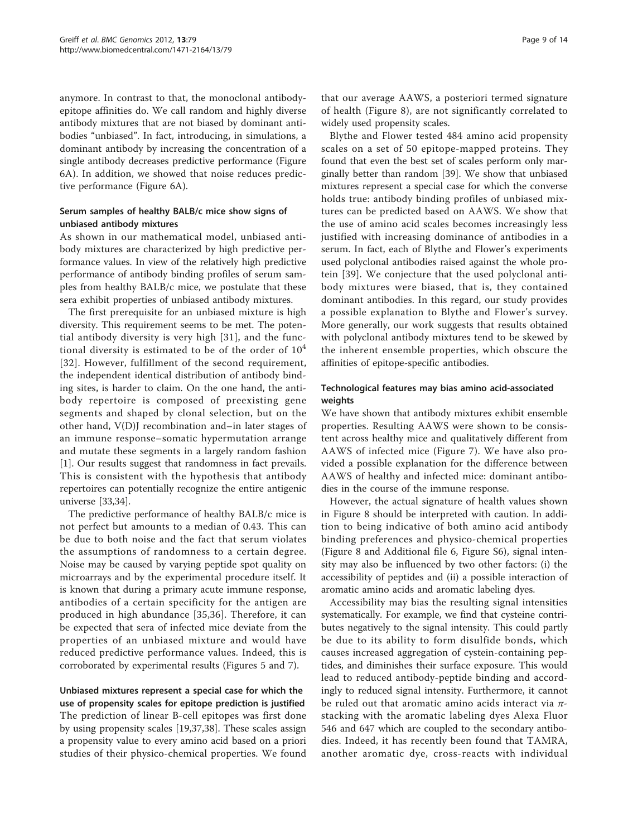anymore. In contrast to that, the monoclonal antibodyepitope affinities do. We call random and highly diverse antibody mixtures that are not biased by dominant antibodies "unbiased". In fact, introducing, in simulations, a dominant antibody by increasing the concentration of a single antibody decreases predictive performance (Figure [6A\)](#page-5-0). In addition, we showed that noise reduces predictive performance (Figure [6A](#page-5-0)).

## Serum samples of healthy BALB/c mice show signs of unbiased antibody mixtures

As shown in our mathematical model, unbiased antibody mixtures are characterized by high predictive performance values. In view of the relatively high predictive performance of antibody binding profiles of serum samples from healthy BALB/c mice, we postulate that these sera exhibit properties of unbiased antibody mixtures.

The first prerequisite for an unbiased mixture is high diversity. This requirement seems to be met. The potential antibody diversity is very high [[31](#page-12-0)], and the functional diversity is estimated to be of the order of  $10<sup>4</sup>$ [[32](#page-12-0)]. However, fulfillment of the second requirement, the independent identical distribution of antibody binding sites, is harder to claim. On the one hand, the antibody repertoire is composed of preexisting gene segments and shaped by clonal selection, but on the other hand, V(D)J recombination and–in later stages of an immune response–somatic hypermutation arrange and mutate these segments in a largely random fashion [[1\]](#page-12-0). Our results suggest that randomness in fact prevails. This is consistent with the hypothesis that antibody repertoires can potentially recognize the entire antigenic universe [[33,34\]](#page-12-0).

The predictive performance of healthy BALB/c mice is not perfect but amounts to a median of 0.43. This can be due to both noise and the fact that serum violates the assumptions of randomness to a certain degree. Noise may be caused by varying peptide spot quality on microarrays and by the experimental procedure itself. It is known that during a primary acute immune response, antibodies of a certain specificity for the antigen are produced in high abundance [[35,36](#page-12-0)]. Therefore, it can be expected that sera of infected mice deviate from the properties of an unbiased mixture and would have reduced predictive performance values. Indeed, this is corroborated by experimental results (Figures [5](#page-5-0) and [7](#page-6-0)).

Unbiased mixtures represent a special case for which the use of propensity scales for epitope prediction is justified The prediction of linear B-cell epitopes was first done by using propensity scales [[19,37,38](#page-12-0)]. These scales assign a propensity value to every amino acid based on a priori studies of their physico-chemical properties. We found

that our average AAWS, a posteriori termed signature of health (Figure [8](#page-7-0)), are not significantly correlated to widely used propensity scales.

Blythe and Flower tested 484 amino acid propensity scales on a set of 50 epitope-mapped proteins. They found that even the best set of scales perform only marginally better than random [\[39](#page-12-0)]. We show that unbiased mixtures represent a special case for which the converse holds true: antibody binding profiles of unbiased mixtures can be predicted based on AAWS. We show that the use of amino acid scales becomes increasingly less justified with increasing dominance of antibodies in a serum. In fact, each of Blythe and Flower's experiments used polyclonal antibodies raised against the whole protein [[39\]](#page-12-0). We conjecture that the used polyclonal antibody mixtures were biased, that is, they contained dominant antibodies. In this regard, our study provides a possible explanation to Blythe and Flower's survey. More generally, our work suggests that results obtained with polyclonal antibody mixtures tend to be skewed by the inherent ensemble properties, which obscure the affinities of epitope-specific antibodies.

## Technological features may bias amino acid-associated weights

We have shown that antibody mixtures exhibit ensemble properties. Resulting AAWS were shown to be consistent across healthy mice and qualitatively different from AAWS of infected mice (Figure [7\)](#page-6-0). We have also provided a possible explanation for the difference between AAWS of healthy and infected mice: dominant antibodies in the course of the immune response.

However, the actual signature of health values shown in Figure [8](#page-7-0) should be interpreted with caution. In addition to being indicative of both amino acid antibody binding preferences and physico-chemical properties (Figure [8](#page-7-0) and Additional file [6,](#page-11-0) Figure S6), signal intensity may also be influenced by two other factors: (i) the accessibility of peptides and (ii) a possible interaction of aromatic amino acids and aromatic labeling dyes.

Accessibility may bias the resulting signal intensities systematically. For example, we find that cysteine contributes negatively to the signal intensity. This could partly be due to its ability to form disulfide bonds, which causes increased aggregation of cystein-containing peptides, and diminishes their surface exposure. This would lead to reduced antibody-peptide binding and accordingly to reduced signal intensity. Furthermore, it cannot be ruled out that aromatic amino acids interact via  $\pi$ stacking with the aromatic labeling dyes Alexa Fluor 546 and 647 which are coupled to the secondary antibodies. Indeed, it has recently been found that TAMRA, another aromatic dye, cross-reacts with individual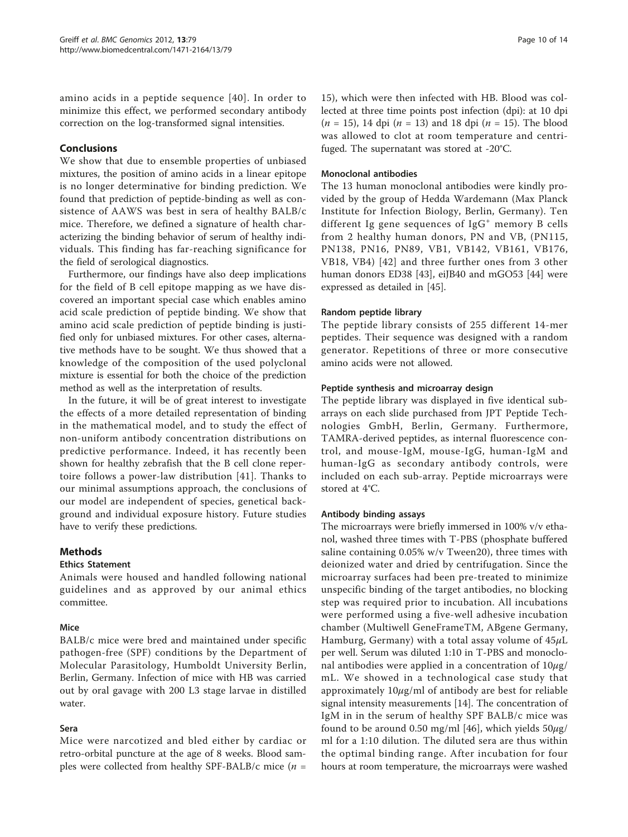amino acids in a peptide sequence [[40\]](#page-12-0). In order to minimize this effect, we performed secondary antibody correction on the log-transformed signal intensities.

## Conclusions

We show that due to ensemble properties of unbiased mixtures, the position of amino acids in a linear epitope is no longer determinative for binding prediction. We found that prediction of peptide-binding as well as consistence of AAWS was best in sera of healthy BALB/c mice. Therefore, we defined a signature of health characterizing the binding behavior of serum of healthy individuals. This finding has far-reaching significance for the field of serological diagnostics.

Furthermore, our findings have also deep implications for the field of B cell epitope mapping as we have discovered an important special case which enables amino acid scale prediction of peptide binding. We show that amino acid scale prediction of peptide binding is justified only for unbiased mixtures. For other cases, alternative methods have to be sought. We thus showed that a knowledge of the composition of the used polyclonal mixture is essential for both the choice of the prediction method as well as the interpretation of results.

In the future, it will be of great interest to investigate the effects of a more detailed representation of binding in the mathematical model, and to study the effect of non-uniform antibody concentration distributions on predictive performance. Indeed, it has recently been shown for healthy zebrafish that the B cell clone repertoire follows a power-law distribution [\[41\]](#page-12-0). Thanks to our minimal assumptions approach, the conclusions of our model are independent of species, genetical background and individual exposure history. Future studies have to verify these predictions.

## Methods

## Ethics Statement

Animals were housed and handled following national guidelines and as approved by our animal ethics committee.

## Mice

BALB/c mice were bred and maintained under specific pathogen-free (SPF) conditions by the Department of Molecular Parasitology, Humboldt University Berlin, Berlin, Germany. Infection of mice with HB was carried out by oral gavage with 200 L3 stage larvae in distilled water.

## Sera

Mice were narcotized and bled either by cardiac or retro-orbital puncture at the age of 8 weeks. Blood samples were collected from healthy SPF-BALB/c mice  $(n =$ 

15), which were then infected with HB. Blood was collected at three time points post infection (dpi): at 10 dpi  $(n = 15)$ , 14 dpi  $(n = 13)$  and 18 dpi  $(n = 15)$ . The blood was allowed to clot at room temperature and centrifuged. The supernatant was stored at -20°C.

## Monoclonal antibodies

The 13 human monoclonal antibodies were kindly provided by the group of Hedda Wardemann (Max Planck Institute for Infection Biology, Berlin, Germany). Ten different Ig gene sequences of IgG<sup>+</sup> memory B cells from 2 healthy human donors, PN and VB, (PN115, PN138, PN16, PN89, VB1, VB142, VB161, VB176, VB18, VB4) [[42](#page-12-0)] and three further ones from 3 other human donors ED38 [\[43](#page-12-0)], eiJB40 and mGO53 [[44\]](#page-13-0) were expressed as detailed in [\[45\]](#page-13-0).

## Random peptide library

The peptide library consists of 255 different 14-mer peptides. Their sequence was designed with a random generator. Repetitions of three or more consecutive amino acids were not allowed.

## Peptide synthesis and microarray design

The peptide library was displayed in five identical subarrays on each slide purchased from JPT Peptide Technologies GmbH, Berlin, Germany. Furthermore, TAMRA-derived peptides, as internal fluorescence control, and mouse-IgM, mouse-IgG, human-IgM and human-IgG as secondary antibody controls, were included on each sub-array. Peptide microarrays were stored at 4°C.

## Antibody binding assays

The microarrays were briefly immersed in 100% v/v ethanol, washed three times with T-PBS (phosphate buffered saline containing 0.05% w/v Tween20), three times with deionized water and dried by centrifugation. Since the microarray surfaces had been pre-treated to minimize unspecific binding of the target antibodies, no blocking step was required prior to incubation. All incubations were performed using a five-well adhesive incubation chamber (Multiwell GeneFrameTM, ABgene Germany, Hamburg, Germany) with a total assay volume of  $45\mu$ L per well. Serum was diluted 1:10 in T-PBS and monoclonal antibodies were applied in a concentration of  $10\mu$ g/ mL. We showed in a technological case study that approximately  $10\mu$ g/ml of antibody are best for reliable signal intensity measurements [[14\]](#page-12-0). The concentration of IgM in in the serum of healthy SPF BALB/c mice was found to be around 0.50 mg/ml [\[46](#page-13-0)], which yields  $50\mu$ g/ ml for a 1:10 dilution. The diluted sera are thus within the optimal binding range. After incubation for four hours at room temperature, the microarrays were washed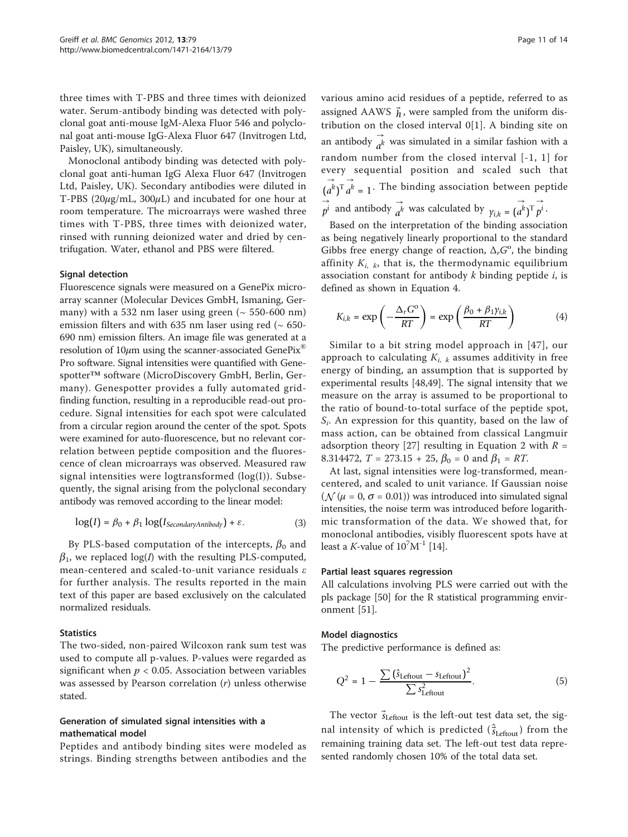three times with T-PBS and three times with deionized water. Serum-antibody binding was detected with polyclonal goat anti-mouse IgM-Alexa Fluor 546 and polyclonal goat anti-mouse IgG-Alexa Fluor 647 (Invitrogen Ltd, Paisley, UK), simultaneously.

Monoclonal antibody binding was detected with polyclonal goat anti-human IgG Alexa Fluor 647 (Invitrogen Ltd, Paisley, UK). Secondary antibodies were diluted in T-PBS ( $20\mu$ g/mL,  $300\mu$ L) and incubated for one hour at room temperature. The microarrays were washed three times with T-PBS, three times with deionized water, rinsed with running deionized water and dried by centrifugation. Water, ethanol and PBS were filtered.

#### Signal detection

Fluorescence signals were measured on a GenePix microarray scanner (Molecular Devices GmbH, Ismaning, Germany) with a 532 nm laser using green ( $\sim$  550-600 nm) emission filters and with 635 nm laser using red ( $\sim$  650-690 nm) emission filters. An image file was generated at a resolution of 10 $\mu$ m using the scanner-associated GenePix<sup>®</sup> Pro software. Signal intensities were quantified with Genespotter™ software (MicroDiscovery GmbH, Berlin, Germany). Genespotter provides a fully automated gridfinding function, resulting in a reproducible read-out procedure. Signal intensities for each spot were calculated from a circular region around the center of the spot. Spots were examined for auto-fluorescence, but no relevant correlation between peptide composition and the fluorescence of clean microarrays was observed. Measured raw signal intensities were logtransformed  $(log(I))$ . Subsequently, the signal arising from the polyclonal secondary antibody was removed according to the linear model:

$$
log(I) = \beta_0 + \beta_1 log(I_{\text{secondaryAntibody}}) + \varepsilon.
$$
 (3)

By PLS-based computation of the intercepts,  $\beta_0$  and  $\beta_1$ , we replaced log(*I*) with the resulting PLS-computed, mean-centered and scaled-to-unit variance residuals  $\varepsilon$ for further analysis. The results reported in the main text of this paper are based exclusively on the calculated normalized residuals.

#### **Statistics**

The two-sided, non-paired Wilcoxon rank sum test was used to compute all p-values. P-values were regarded as significant when  $p < 0.05$ . Association between variables was assessed by Pearson correlation  $(r)$  unless otherwise stated.

#### Generation of simulated signal intensities with a mathematical model

Peptides and antibody binding sites were modeled as strings. Binding strengths between antibodies and the various amino acid residues of a peptide, referred to as assigned AAWS  $\vec{h}$ , were sampled from the uniform distribution on the closed interval 0[[1](#page-12-0)]. A binding site on an antibody  $\vec{a}^k$  was simulated in a similar fashion with a random number from the closed interval [-1, 1] for every sequential position and scaled such that  $\overrightarrow{a}^{k}$ <sup>*x*</sup></sup> $\overrightarrow{a}^{k}$  = 1. The binding association between peptide  $\vec{p}$ <sup>*i*</sup> and antibody  $\vec{a}$ <sup>*k*</sup> was calculated by  $y_{i,k} = (\vec{a}^k)^T \vec{p}^i$ .

Based on the interpretation of the binding association as being negatively linearly proportional to the standard Gibbs free energy change of reaction,  $\Delta_r G^{\circ}$ , the binding affinity  $K_{i,k}$ , that is, the thermodynamic equilibrium association constant for antibody  $k$  binding peptide  $i$ , is defined as shown in Equation 4.

$$
K_{i,k} = \exp\left(-\frac{\Delta_r G^{\circ}}{RT}\right) = \exp\left(\frac{\beta_0 + \beta_1 \gamma_{i,k}}{RT}\right) \tag{4}
$$

Similar to a bit string model approach in [[47](#page-13-0)], our approach to calculating  $K_{i, k}$  assumes additivity in free energy of binding, an assumption that is supported by experimental results [[48,49\]](#page-13-0). The signal intensity that we measure on the array is assumed to be proportional to the ratio of bound-to-total surface of the peptide spot,  $S_i$ . An expression for this quantity, based on the law of mass action, can be obtained from classical Langmuir adsorption theory [[27](#page-12-0)] resulting in Equation 2 with  $R =$ 8.314472,  $T = 273.15 + 25$ ,  $\beta_0 = 0$  and  $\beta_1 = RT$ .

At last, signal intensities were log-transformed, meancentered, and scaled to unit variance. If Gaussian noise  $(N(\mu = 0, \sigma = 0.01))$  was introduced into simulated signal intensities, the noise term was introduced before logarithmic transformation of the data. We showed that, for monoclonal antibodies, visibly fluorescent spots have at least a *K*-value of  $10^{7}M^{-1}$  [[14](#page-12-0)].

#### Partial least squares regression

All calculations involving PLS were carried out with the pls package [\[50\]](#page-13-0) for the R statistical programming environment [[51](#page-13-0)].

#### Model diagnostics

The predictive performance is defined as:

$$
Q^{2} = 1 - \frac{\sum (\hat{s}_{\text{Leftout}} - s_{\text{Leftout}})^{2}}{\sum s_{\text{Leftout}}^{2}}.
$$
 (5)

The vector  $\vec{s}_{\text{Leftout}}$  is the left-out test data set, the signal intensity of which is predicted  $(\hat{\mathfrak{z}}_{\text{Leftout}})$  from the remaining training data set. The left-out test data represented randomly chosen 10% of the total data set.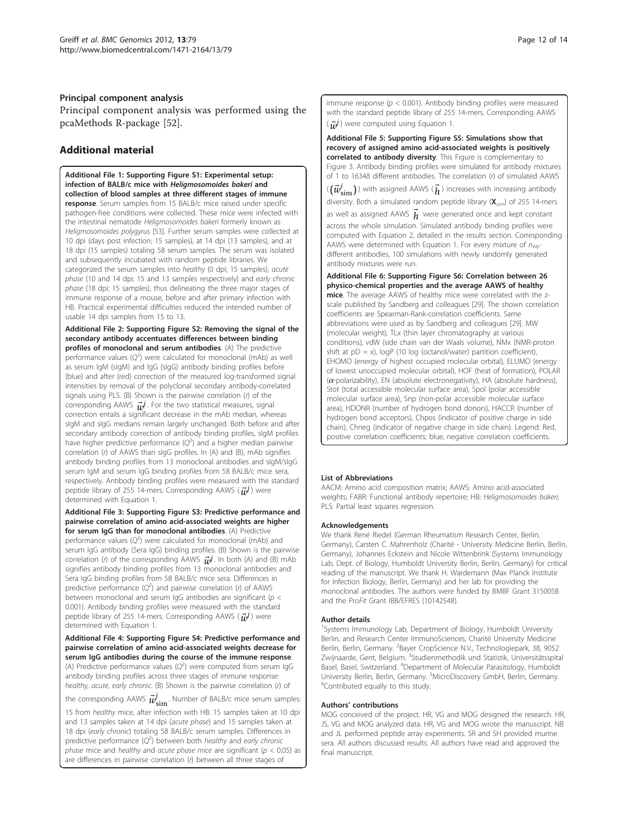#### <span id="page-11-0"></span>Principal component analysis

Principal component analysis was performed using the pcaMethods R-package [[52\]](#page-13-0).

## Additional material

[Additional File 1:](http://www.biomedcentral.com/content/supplementary/1471-2164-13-79-S1.PDF) Supporting Figure S1: Experimental setup: infection of BALB/c mice with Heligmosomoides bakeri and collection of blood samples at three different stages of immune response. Serum samples from 15 BALB/c mice raised under specific pathogen-free conditions were collected. These mice were infected with the intestinal nematode Heliamosomoides bakeri formerly known as Heligmosomoides polygyrus [[53\]](#page-13-0). Further serum samples were collected at 10 dpi (days post infection; 15 samples), at 14 dpi (13 samples), and at 18 dpi (15 samples) totaling 58 serum samples. The serum was isolated and subsequently incubated with random peptide libraries. We categorized the serum samples into healthy (0 dpi; 15 samples), acute phase (10 and 14 dpi; 15 and 13 samples respectively) and early chronic phase (18 dpi; 15 samples), thus delineating the three major stages of immune response of a mouse, before and after primary infection with HB. Practical experimental difficulties reduced the intended number of usable 14 dpi samples from 15 to 13.

[Additional File 2:](http://www.biomedcentral.com/content/supplementary/1471-2164-13-79-S2.PDF) Supporting Figure S2: Removing the signal of the secondary antibody accentuates differences between binding profiles of monoclonal and serum antibodies. (A) The predictive performance values  $(Q^2)$  were calculated for monoclonal (mAb) as well as serum IgM (sIgM) and IgG (sIgG) antibody binding profiles before (blue) and after (red) correction of the measured log-transformed signal intensities by removal of the polyclonal secondary antibody-correlated signals using PLS. (B) Shown is the pairwise correlation (r) of the corresponding AAWS  $\vec{w}$ , For the two statistical measures, signal<br>correction entails a significant decrease in the mAh median, whe correction entails a significant decrease in the mAb median, whereas sIgM and sIgG medians remain largely unchanged. Both before and after secondary antibody correction of antibody binding profiles, sIgM profiles have higher predictive performance  $(Q^2)$  and a higher median pairwise correlation (r) of AAWS than sIgG profiles. In (A) and (B), mAb signifies antibody binding profiles from 13 monoclonal antibodies and sIgM/sIgG serum IgM and serum IgG binding profiles from 58 BALB/c mice sera, respectively. Antibody binding profiles were measured with the standard peptide library of 255 14-mers. Corresponding AAWS ( $\vec{u}^{j}$ ) were determined with Equation 1 determined with Equation 1.

[Additional File 3:](http://www.biomedcentral.com/content/supplementary/1471-2164-13-79-S3.PDF) Supporting Figure S3: Predictive performance and pairwise correlation of amino acid-associated weights are higher for serum IgG than for monoclonal antibodies. (A) Predictive performance values  $(Q^2)$  were calculated for monoclonal (mAb) and serum IgG antibody (Sera IgG) binding profiles. (B) Shown is the pairwise correlation (*r*) of the corresponding AAWS  $\vec{u}^j$ . In both (A) and (B) mAb<br>sionifies antibody binding profiles from 13 monoclonal antibodies and signifies antibody binding profiles from 13 monoclonal antibodies and Sera IgG binding profiles from 58 BALB/c mice sera. Differences in predictive performance  $(Q^2)$  and pairwise correlation (r) of AAWS between monoclonal and serum IgG antibodies are significant ( $p <$ 0.001). Antibody binding profiles were measured with the standard peptide library of 255 14-mers. Corresponding AAWS ( $\vec{u}^{j}$ ) were determined with Faustion 1 determined with Equation 1.

[Additional File 4:](http://www.biomedcentral.com/content/supplementary/1471-2164-13-79-S4.PDF) Supporting Figure S4: Predictive performance and pairwise correlation of amino acid-associated weights decrease for serum IgG antibodies during the course of the immune response. (A) Predictive performance values  $(Q^2)$  were computed from serum IgG antibody binding profiles across three stages of immune response:

healthy, acute, early chronic. (B) Shown is the pairwise correlation (r) of

the corresponding AAWS  $\vec{w}^j_{\text{sim}}$ . Number of BALB/c mice serum samples:

15 from healthy mice, after infection with HB: 15 samples taken at 10 dpi and 13 samples taken at 14 dpi (acute phase) and 15 samples taken at 18 dpi (early chronic) totaling 58 BALB/c serum samples. Differences in predictive performance  $(Q^2)$  between both healthy and early chronic phase mice and healthy and acute phase mice are significant ( $p < 0.05$ ) as are differences in pairwise correlation (r) between all three stages of

immune response ( $p < 0.001$ ). Antibody binding profiles were measured with the standard peptide library of 255 14-mers. Corresponding AAWS  $(\vec{w}^j)$  were computed using Equation 1.

[Additional File 5:](http://www.biomedcentral.com/content/supplementary/1471-2164-13-79-S5.PDF) Supporting Figure S5: Simulations show that recovery of assigned amino acid-associated weights is positively correlated to antibody diversity. This Figure is complementary to Figure 3. Antibody binding profiles were simulated for antibody mixtures

of 1 to 16348 different antibodies. The correlation (r) of simulated AAWS

 $\mathcal{N}(\vec{w}_\text{sim}^i)$  ) with assigned AAWS ( $\vec{h}$ ) increases with increasing antibody diversity. Both a simulated random peptide library  $(X_{sim})$  of 255 14-mers as well as assigned AAWS  $\hat{h}$  were generated once and kept constant across the whole simulation. Simulated antibody binding profiles were computed with Equation 2, detailed in the results section. Corresponding AAWS were determined with Equation 1. For every mixture of  $n_{Ab}$ different antibodies, 100 simulations with newly randomly generated antibody mixtures were run.

[Additional File 6:](http://www.biomedcentral.com/content/supplementary/1471-2164-13-79-S6.PDF) Supporting Figure S6: Correlation between 26 physico-chemical properties and the average AAWS of healthy mice. The average AAWS of healthy mice were correlated with the zscale published by Sandberg and colleagues [[29\]](#page-12-0). The shown correlation coefficients are Spearman-Rank-correlation coefficients. Same abbreviations were used as by Sandberg and colleagues [[29\]](#page-12-0). MW (molecular weight), TLx (thin layer chromatography at various conditions), vdW (side chain van der Waals volume), NMx (NMR-proton shift at  $pD = x$ ),  $logP$  (10  $log$  (octanol/water) partition coefficient), EHOMO (energy of highest occupied molecular orbital), ELUMO (energy of lowest unoccupied molecular orbital), HOF (heat of formation), POLAR  $(\alpha$ -polarizability), EN (absolute electronegativity), HA (absolute hardness), Stot (total accessible molecular surface area), Spol (polar accessible molecular surface area), Snp (non-polar accessible molecular surface area), HDONR (number of hydrogen bond donors), HACCR (number of hydrogen bond acceptors), Chpos (indicator of positive charge in side chain), Chneg (indicator of negative charge in side chain). Legend: Red, positive correlation coefficients; blue, negative correlation coefficients.

#### List of Abbreviations

AACM: Amino acid composition matrix; AAWS: Amino acid-associated weights; FABR: Functional antibody repertoire; HB: Heligmosomoides bakeri; PLS: Partial least squares regression.

#### Acknowledgements

We thank René Riedel (German Rheumatism Research Center, Berlin, Germany), Carsten C. Mahrenholz (Charité - University Medicine Berlin, Berlin, Germany), Johannes Eckstein and Nicole Wittenbrink (Systems Immunology Lab, Dept. of Biology, Humboldt University Berlin, Berlin, Germany) for critical reading of the manuscript. We thank H. Wardemann (Max Planck Institute for Infection Biology, Berlin, Germany) and her lab for providing the monoclonal antibodies. The authors were funded by BMBF Grant 315005B and the ProFit Grant IBB/EFRES (10142548).

#### Author details

<sup>1</sup>Systems Immunology Lab, Department of Biology, Humboldt University Berlin, and Research Center ImmunoSciences, Charité University Medicine Berlin, Berlin, Germany. <sup>2</sup>Bayer CropScience N.V., Technologiepark, 38, 9052 Zwijnaarde, Gent, Belgium. <sup>3</sup>Studienmethodik und Statistik, Universitätsspital Basel, Basel, Switzerland. <sup>4</sup>Department of Molecular Parasitology, Humboldt University Berlin, Berlin, Germany. <sup>5</sup>MicroDiscovery GmbH, Berlin, Germany <sup>6</sup>Contributed equally to this study.

#### Authors' contributions

MOG conceived of the project. HR, VG and MOG designed the research. HR, JS, VG and MOG analyzed data. HR, VG and MOG wrote the manuscript. NB and JL performed peptide array experiments. SR and SH provided murine sera. All authors discussed results. All authors have read and approved the final manuscript.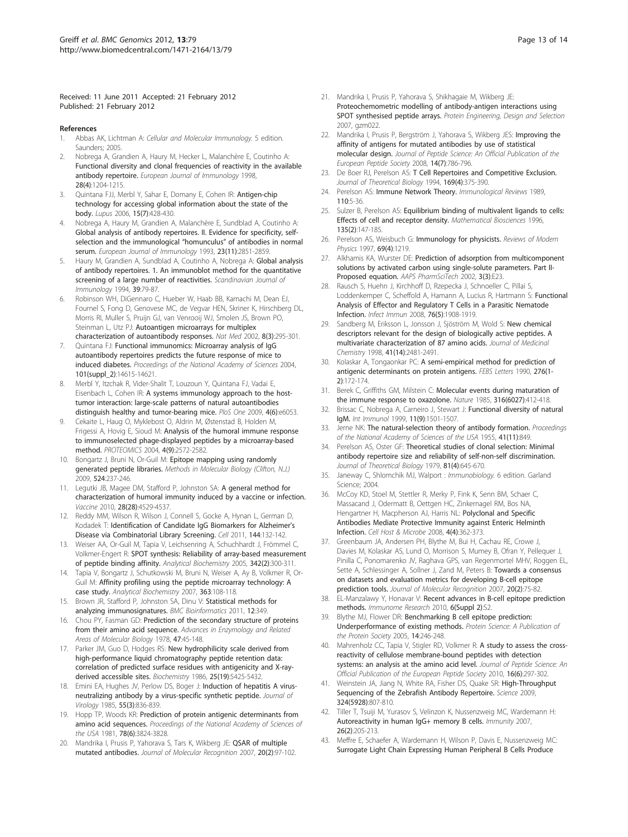<span id="page-12-0"></span>Received: 11 June 2011 Accepted: 21 February 2012 Published: 21 February 2012

#### References

- Abbas AK, Lichtman A: Cellular and Molecular Immunology. 5 edition. Saunders; 2005.
- 2. Nobrega A, Grandien A, Haury M, Hecker L, Malanchère E, Coutinho A: [Functional diversity and clonal frequencies of reactivity in the available](http://www.ncbi.nlm.nih.gov/pubmed/9565360?dopt=Abstract) [antibody repertoire.](http://www.ncbi.nlm.nih.gov/pubmed/9565360?dopt=Abstract) European Journal of Immunology 1998, 28(4):1204-1215.
- Quintana FJJ, Merbl Y, Sahar E, Domany E, Cohen IR: [Antigen-chip](http://www.ncbi.nlm.nih.gov/pubmed/16898177?dopt=Abstract) [technology for accessing global information about the state of the](http://www.ncbi.nlm.nih.gov/pubmed/16898177?dopt=Abstract) [body.](http://www.ncbi.nlm.nih.gov/pubmed/16898177?dopt=Abstract) Lupus 2006, 15(7):428-430.
- 4. Nobrega A, Haury M, Grandien A, Malanchère E, Sundblad A, Coutinho A: [Global analysis of antibody repertoires. II. Evidence for specificity, self](http://www.ncbi.nlm.nih.gov/pubmed/8223861?dopt=Abstract)[selection and the immunological](http://www.ncbi.nlm.nih.gov/pubmed/8223861?dopt=Abstract) "homunculus" of antibodies in normal [serum.](http://www.ncbi.nlm.nih.gov/pubmed/8223861?dopt=Abstract) European Journal of Immunology 1993, 23(11):2851-2859.
- Haury M, Grandien A, Sundblad A, Coutinho A, Nobrega A: [Global analysis](http://www.ncbi.nlm.nih.gov/pubmed/8290896?dopt=Abstract) [of antibody repertoires. 1. An immunoblot method for the quantitative](http://www.ncbi.nlm.nih.gov/pubmed/8290896?dopt=Abstract) [screening of a large number of reactivities.](http://www.ncbi.nlm.nih.gov/pubmed/8290896?dopt=Abstract) Scandinavian Journal of Immunology 1994, 39:79-87.
- Robinson WH, DiGennaro C, Hueber W, Haab BB, Kamachi M, Dean EJ, Fournel S, Fong D, Genovese MC, de Vegvar HEN, Skriner K, Hirschberg DL, Morris RI, Muller S, Pruijn GJ, van Venrooij WJ, Smolen JS, Brown PO, Steinman L, Utz PJ: [Autoantigen microarrays for multiplex](http://www.ncbi.nlm.nih.gov/pubmed/11875502?dopt=Abstract) [characterization of autoantibody responses.](http://www.ncbi.nlm.nih.gov/pubmed/11875502?dopt=Abstract) Nat Med 2002, 8(3):295-301.
- 7. Quintana FJ: Functional immunomics: Microarray analysis of IgG autoantibody repertoires predicts the future response of mice to induced diabetes. Proceedings of the National Academy of Sciences 2004, 101(suppl\_2):14615-14621.
- 8. Merbl Y, Itzchak R, Vider-Shalit T, Louzoun Y, Quintana FJ, Vadai E, Eisenbach L, Cohen IR: [A systems immunology approach to the host](http://www.ncbi.nlm.nih.gov/pubmed/19557135?dopt=Abstract)[tumor interaction: large-scale patterns of natural autoantibodies](http://www.ncbi.nlm.nih.gov/pubmed/19557135?dopt=Abstract) [distinguish healthy and tumor-bearing mice.](http://www.ncbi.nlm.nih.gov/pubmed/19557135?dopt=Abstract) PloS One 2009, 4(6):e6053.
- 9. Cekaite L, Haug O, Myklebost O, Aldrin M, Østenstad B, Holden M, Frigessi A, Hovig E, Sioud M: [Analysis of the humoral immune response](http://www.ncbi.nlm.nih.gov/pubmed/15352232?dopt=Abstract) [to immunoselected phage-displayed peptides by a microarray-based](http://www.ncbi.nlm.nih.gov/pubmed/15352232?dopt=Abstract) [method.](http://www.ncbi.nlm.nih.gov/pubmed/15352232?dopt=Abstract) PROTEOMICS 2004, 4(9):2572-2582.
- 10. Bongartz J, Bruni N, Or-Guil M: Epitope mapping using randomly generated peptide libraries. Methods in Molecular Biology (Clifton, N.J.) 2009, 524:237-246.
- 11. Legutki JB, Magee DM, Stafford P, Johnston SA: [A general method for](http://www.ncbi.nlm.nih.gov/pubmed/20450869?dopt=Abstract) [characterization of humoral immunity induced by a vaccine or infection.](http://www.ncbi.nlm.nih.gov/pubmed/20450869?dopt=Abstract) Vaccine 2010, 28(28):4529-4537.
- 12. Reddy MM, Wilson R, Wilson J, Connell S, Gocke A, Hynan L, German D, Kodadek T: [Identification of Candidate IgG Biomarkers for Alzheimer](http://www.ncbi.nlm.nih.gov/pubmed/21215375?dopt=Abstract)'s [Disease via Combinatorial Library Screening.](http://www.ncbi.nlm.nih.gov/pubmed/21215375?dopt=Abstract) Cell 2011, 144:132-142.
- 13. Weiser AA, Or-Guil M, Tapia V, Leichsenring A, Schuchhardt J, Frömmel C, Volkmer-Engert R: [SPOT synthesis: Reliability of array-based measurement](http://www.ncbi.nlm.nih.gov/pubmed/15950918?dopt=Abstract) [of peptide binding affinity.](http://www.ncbi.nlm.nih.gov/pubmed/15950918?dopt=Abstract) Analytical Biochemistry 2005, 342(2):300-311.
- 14. Tapia V, Bongartz J, Schutkowski M, Bruni N, Weiser A, Ay B, Volkmer R, Or-Guil M: [Affinity profiling using the peptide microarray technology: A](http://www.ncbi.nlm.nih.gov/pubmed/17288979?dopt=Abstract) [case study.](http://www.ncbi.nlm.nih.gov/pubmed/17288979?dopt=Abstract) Analytical Biochemistry 2007, 363:108-118.
- 15. Brown JR, Stafford P, Johnston SA, Dinu V: [Statistical methods for](http://www.ncbi.nlm.nih.gov/pubmed/21854615?dopt=Abstract) [analyzing immunosignatures.](http://www.ncbi.nlm.nih.gov/pubmed/21854615?dopt=Abstract) BMC Bioinformatics 2011, 12:349.
- 16. Chou PY, Fasman GD: [Prediction of the secondary structure of proteins](http://www.ncbi.nlm.nih.gov/pubmed/364941?dopt=Abstract) [from their amino acid sequence.](http://www.ncbi.nlm.nih.gov/pubmed/364941?dopt=Abstract) Advances in Enzymology and Related Areas of Molecular Biology 1978, 47:45-148.
- 17. Parker JM, Guo D, Hodges RS: [New hydrophilicity scale derived from](http://www.ncbi.nlm.nih.gov/pubmed/2430611?dopt=Abstract) [high-performance liquid chromatography peptide retention data:](http://www.ncbi.nlm.nih.gov/pubmed/2430611?dopt=Abstract) [correlation of predicted surface residues with antigenicity and X-ray](http://www.ncbi.nlm.nih.gov/pubmed/2430611?dopt=Abstract)[derived accessible sites.](http://www.ncbi.nlm.nih.gov/pubmed/2430611?dopt=Abstract) Biochemistry 1986, 25(19):5425-5432.
- 18. Emini EA, Hughes JV, Perlow DS, Boger J: [Induction of hepatitis A virus](http://www.ncbi.nlm.nih.gov/pubmed/2991600?dopt=Abstract)[neutralizing antibody by a virus-specific synthetic peptide.](http://www.ncbi.nlm.nih.gov/pubmed/2991600?dopt=Abstract) Journal of Virology 1985, 55(3):836-839.
- 19. Hopp TP, Woods KR: [Prediction of protein antigenic determinants from](http://www.ncbi.nlm.nih.gov/pubmed/6167991?dopt=Abstract) [amino acid sequences.](http://www.ncbi.nlm.nih.gov/pubmed/6167991?dopt=Abstract) Proceedings of the National Academy of Sciences of the USA 1981, 78(6):3824-3828.
- 20. Mandrika I, Prusis P, Yahorava S, Tars K, Wikberg JE: [QSAR of multiple](http://www.ncbi.nlm.nih.gov/pubmed/17421049?dopt=Abstract) [mutated antibodies.](http://www.ncbi.nlm.nih.gov/pubmed/17421049?dopt=Abstract) Journal of Molecular Recognition 2007, 20(2):97-102.
- 21. Mandrika I, Prusis P, Yahorava S, Shikhagaie M, Wikberg JE: Proteochemometric modelling of antibody-antigen interactions using SPOT synthesised peptide arrays. Protein Engineering, Design and Selection 2007, gzm022.
- 22. Mandrika I, Prusis P, Bergström J, Yahorava S, Wikberg JES: Improving the affinity of antigens for mutated antibodies by use of statistical molecular design. Journal of Peptide Science: An Official Publication of the European Peptide Society 2008, 14(7):786-796.
- 23. De Boer RJ, Perelson AS: [T Cell Repertoires and Competitive Exclusion.](http://www.ncbi.nlm.nih.gov/pubmed/7967629?dopt=Abstract) Journal of Theoretical Biology 1994, 169(4):375-390.
- 24. Perelson AS: [Immune Network Theory.](http://www.ncbi.nlm.nih.gov/pubmed/2477327?dopt=Abstract) Immunological Reviews 1989, 110:5-36.
- 25. Sulzer B, Perelson AS: [Equilibrium binding of multivalent ligands to cells:](http://www.ncbi.nlm.nih.gov/pubmed/8768219?dopt=Abstract) [Effects of cell and receptor density.](http://www.ncbi.nlm.nih.gov/pubmed/8768219?dopt=Abstract) Mathematical Biosciences 1996, 135(2):147-185.
- 26. Perelson AS, Weisbuch G: Immunology for physicists. Reviews of Modern Physics 1997, 69(4):1219.
- 27. Alkhamis KA, Wurster DE: [Prediction of adsorption from multicomponent](http://www.ncbi.nlm.nih.gov/pubmed/12916938?dopt=Abstract) [solutions by activated carbon using single-solute parameters. Part II-](http://www.ncbi.nlm.nih.gov/pubmed/12916938?dopt=Abstract)[Proposed equation.](http://www.ncbi.nlm.nih.gov/pubmed/12916938?dopt=Abstract) AAPS PharmSciTech 2002, 3(3):E23.
- 28. Rausch S, Huehn J, Kirchhoff D, Rzepecka J, Schnoeller C, Pillai S, Loddenkemper C, Scheffold A, Hamann A, Lucius R, Hartmann S: [Functional](http://www.ncbi.nlm.nih.gov/pubmed/18316386?dopt=Abstract) Analysis [of Effector and Regulatory T Cells in a Parasitic Nematode](http://www.ncbi.nlm.nih.gov/pubmed/18316386?dopt=Abstract) [Infection.](http://www.ncbi.nlm.nih.gov/pubmed/18316386?dopt=Abstract) Infect Immun 2008, 76(5):1908-1919.
- 29. Sandberg M, Eriksson L, Jonsson J, Sjöström M, Wold S: [New chemical](http://www.ncbi.nlm.nih.gov/pubmed/9651153?dopt=Abstract) [descriptors relevant for the design of biologically active peptides. A](http://www.ncbi.nlm.nih.gov/pubmed/9651153?dopt=Abstract) [multivariate characterization of 87 amino acids.](http://www.ncbi.nlm.nih.gov/pubmed/9651153?dopt=Abstract) Journal of Medicinal Chemistry 1998, 41(14):2481-2491.
- 30. Kolaskar A, Tongaonkar PC: [A semi-empirical method for prediction of](http://www.ncbi.nlm.nih.gov/pubmed/1702393?dopt=Abstract) [antigenic determinants on protein antigens.](http://www.ncbi.nlm.nih.gov/pubmed/1702393?dopt=Abstract) FEBS Letters 1990, 276(1- 2):172-174.
- 31. Berek C, Griffiths GM, Milstein C: [Molecular events during maturation of](http://www.ncbi.nlm.nih.gov/pubmed/3927173?dopt=Abstract) [the immune response to oxazolone.](http://www.ncbi.nlm.nih.gov/pubmed/3927173?dopt=Abstract) Nature 1985, 316(6027):412-418.
- 32. Brissac C, Nobrega A, Carneiro J, Stewart J: [Functional diversity of natural](http://www.ncbi.nlm.nih.gov/pubmed/10464171?dopt=Abstract) [IgM.](http://www.ncbi.nlm.nih.gov/pubmed/10464171?dopt=Abstract) Int Immunol 1999, 11(9):1501-1507.
- 33. Jerne NK: [The natural-selection theory of antibody formation.](http://www.ncbi.nlm.nih.gov/pubmed/16589759?dopt=Abstract) Proceedings of the National Academy of Sciences of the USA 1955, 41(11):849.
- 34. Perelson AS, Oster GF: [Theoretical studies of clonal selection: Minimal](http://www.ncbi.nlm.nih.gov/pubmed/94141?dopt=Abstract) [antibody repertoire size and reliability of self-non-self discrimination.](http://www.ncbi.nlm.nih.gov/pubmed/94141?dopt=Abstract) Journal of Theoretical Biology 1979, 81(4):645-670.
- 35. Janeway C, Shlomchik MJ, Walport : Immunobiology. 6 edition. Garland Science; 2004.
- 36. McCoy KD, Stoel M, Stettler R, Merky P, Fink K, Senn BM, Schaer C, Massacand J, Odermatt B, Oettgen HC, Zinkernagel RM, Bos NA, Hengartner H, Macpherson AJ, Harris NL: [Polyclonal and Specific](http://www.ncbi.nlm.nih.gov/pubmed/22384242?dopt=Abstract) [Antibodies Mediate Protective Immunity against Enteric Helminth](http://www.ncbi.nlm.nih.gov/pubmed/22384242?dopt=Abstract) [Infection.](http://www.ncbi.nlm.nih.gov/pubmed/22384242?dopt=Abstract) Cell Host & Microbe 2008, 4(4):362-373.
- 37. Greenbaum JA, Andersen PH, Blythe M, Bui H, Cachau RE, Crowe J, Davies M, Kolaskar AS, Lund O, Morrison S, Mumey B, Ofran Y, Pellequer J, Pinilla C, Ponomarenko JV, Raghava GPS, van Regenmortel MHV, Roggen EL, Sette A, Schlessinger A, Sollner J, Zand M, Peters B: [Towards a consensus](http://www.ncbi.nlm.nih.gov/pubmed/17205610?dopt=Abstract) [on datasets and evaluation metrics for developing B-cell epitope](http://www.ncbi.nlm.nih.gov/pubmed/17205610?dopt=Abstract) [prediction tools.](http://www.ncbi.nlm.nih.gov/pubmed/17205610?dopt=Abstract) Journal of Molecular Recognition 2007, 20(2):75-82.
- 38. EL-Manzalawy Y, Honavar V: [Recent advances in B-cell epitope prediction](http://www.ncbi.nlm.nih.gov/pubmed/21067544?dopt=Abstract) [methods.](http://www.ncbi.nlm.nih.gov/pubmed/21067544?dopt=Abstract) Immunome Research 2010, 6(Suppl 2):S2.
- 39. Blythe MJ, Flower DR: Benchmarking B cell epitope prediction: Underperformance of existing methods. Protein Science: A Publication of the Protein Society 2005, 14:246-248.
- 40. Mahrenholz CC, Tapia V, Stigler RD, Volkmer R: A study to assess the crossreactivity of cellulose membrane-bound peptides with detection systems: an analysis at the amino acid level. Journal of Peptide Science: An Official Publication of the European Peptide Society 2010, 16(6):297-302.
- 41. Weinstein JA, Jiang N, White RA, Fisher DS, Quake SR: [High-Throughput](http://www.ncbi.nlm.nih.gov/pubmed/19423829?dopt=Abstract) [Sequencing of the Zebrafish Antibody Repertoire.](http://www.ncbi.nlm.nih.gov/pubmed/19423829?dopt=Abstract) Science 2009, 324(5928):807-810.
- 42. Tiller T, Tsuiji M, Yurasov S, Velinzon K, Nussenzweig MC, Wardemann H: [Autoreactivity in human IgG+ memory B cells.](http://www.ncbi.nlm.nih.gov/pubmed/17306569?dopt=Abstract) Immunity 2007, 26(2):205-213.
- 43. Meffre E, Schaefer A, Wardemann H, Wilson P, Davis E, Nussenzweig MC: [Surrogate Light Chain Expressing Human Peripheral B Cells Produce](http://www.ncbi.nlm.nih.gov/pubmed/14699083?dopt=Abstract)